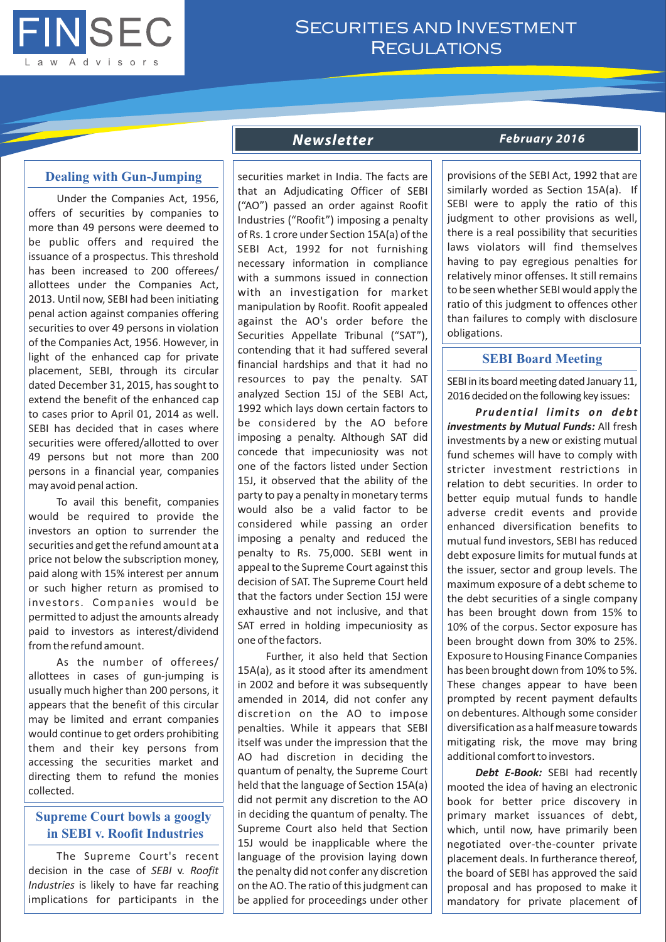

# SECURITIES AND INVESTMENT **REGULATIONS**

## **Dealing with Gun-Jumping**

Under the Companies Act, 1956, offers of securities by companies to more than 49 persons were deemed to be public offers and required the issuance of a prospectus. This threshold has been increased to 200 offerees/ allottees under the Companies Act, 2013. Until now, SEBI had been initiating penal action against companies offering securities to over 49 persons in violation of the Companies Act, 1956. However, in light of the enhanced cap for private placement, SEBI, through its circular dated December 31, 2015, has sought to extend the benefit of the enhanced cap to cases prior to April 01, 2014 as well. SEBI has decided that in cases where securities were offered/allotted to over 49 persons but not more than 200 persons in a financial year, companies may avoid penal action.

To avail this benefit, companies would be required to provide the investors an option to surrender the securities and get the refund amount at a price not below the subscription money, paid along with 15% interest per annum or such higher return as promised to investors. Companies would be permitted to adjust the amounts already paid to investors as interest/dividend from the refund amount.

As the number of offerees/ allottees in cases of gun-jumping is usually much higher than 200 persons, it appears that the benefit of this circular may be limited and errant companies would continue to get orders prohibiting them and their key persons from accessing the securities market and directing them to refund the monies collected.

# **Supreme Court bowls a googly in SEBI v. Roofit Industries**

The Supreme Court's recent decision in the case of *SEBI* v. *Roofit Industries* is likely to have far reaching implications for participants in the

securities market in India. The facts are that an Adjudicating Officer of SEBI ("AO") passed an order against Roofit Industries ("Roofit") imposing a penalty of Rs. 1 crore under Section 15A(a) of the SEBI Act, 1992 for not furnishing necessary information in compliance with a summons issued in connection with an investigation for market manipulation by Roofit. Roofit appealed against the AO's order before the Securities Appellate Tribunal ("SAT"), contending that it had suffered several financial hardships and that it had no resources to pay the penalty. SAT analyzed Section 15J of the SEBI Act, 1992 which lays down certain factors to be considered by the AO before imposing a penalty. Although SAT did concede that impecuniosity was not one of the factors listed under Section 15J, it observed that the ability of the party to pay a penalty in monetary terms would also be a valid factor to be considered while passing an order imposing a penalty and reduced the penalty to Rs. 75,000. SEBI went in appeal to the Supreme Court against this decision of SAT. The Supreme Court held that the factors under Section 15J were exhaustive and not inclusive, and that SAT erred in holding impecuniosity as one of the factors.

Further, it also held that Section 15A(a), as it stood after its amendment in 2002 and before it was subsequently amended in 2014, did not confer any discretion on the AO to impose penalties. While it appears that SEBI itself was under the impression that the AO had discretion in deciding the quantum of penalty, the Supreme Court held that the language of Section 15A(a) did not permit any discretion to the AO in deciding the quantum of penalty. The Supreme Court also held that Section 15J would be inapplicable where the language of the provision laying down the penalty did not confer any discretion on the AO. The ratio of this judgment can be applied for proceedings under other

#### *Newsletter February 2016*

provisions of the SEBI Act, 1992 that are similarly worded as Section 15A(a). If SEBI were to apply the ratio of this judgment to other provisions as well, there is a real possibility that securities laws violators will find themselves having to pay egregious penalties for relatively minor offenses. It still remains to be seen whether SEBI would apply the ratio of this judgment to offences other than failures to comply with disclosure obligations.

#### **SEBI Board Meeting**

SEBI in its board meeting dated January 11, 2016 decided on the following key issues:

*Prudential limits on debt investments by Mutual Funds:* All fresh investments by a new or existing mutual fund schemes will have to comply with stricter investment restrictions in relation to debt securities. In order to better equip mutual funds to handle adverse credit events and provide enhanced diversification benefits to mutual fund investors, SEBI has reduced debt exposure limits for mutual funds at the issuer, sector and group levels. The maximum exposure of a debt scheme to the debt securities of a single company has been brought down from 15% to 10% of the corpus. Sector exposure has been brought down from 30% to 25%. Exposure to Housing Finance Companies has been brought down from 10% to 5%. These changes appear to have been prompted by recent payment defaults on debentures. Although some consider diversification as a half measure towards mitigating risk, the move may bring additional comfort to investors.

*Debt E-Book:* SEBI had recently mooted the idea of having an electronic book for better price discovery in primary market issuances of debt, which, until now, have primarily been negotiated over-the-counter private placement deals. In furtherance thereof, the board of SEBI has approved the said proposal and has proposed to make it mandatory for private placement of